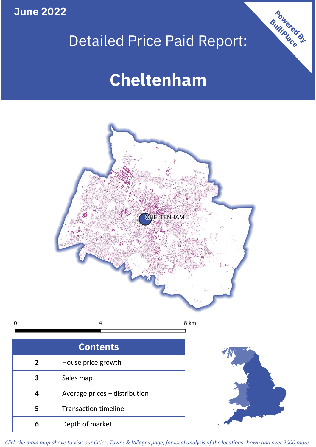**June 2022**

# Detailed Price Paid Report:

# **Cheltenham**



 $\mathbf 0$ 4

8 km

| <b>Contents</b> |                               |  |  |
|-----------------|-------------------------------|--|--|
| $\overline{2}$  | House price growth            |  |  |
| 3               | Sales map                     |  |  |
| 4               | Average prices + distribution |  |  |
|                 | <b>Transaction timeline</b>   |  |  |
|                 | Depth of market               |  |  |



Powered By

*Click the main map above to visit our Cities, Towns & Villages page, for local analysis of the locations shown and over 2000 more*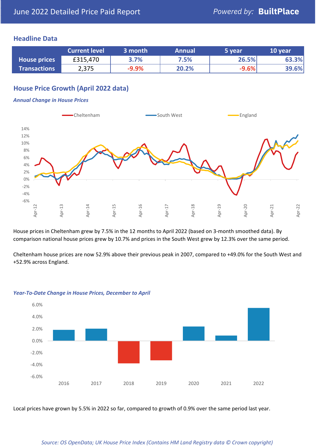# **Headline Data**

|                     | <b>Current level</b> | 3 month | <b>Annual</b> | 5 year  | 10 year |
|---------------------|----------------------|---------|---------------|---------|---------|
| <b>House prices</b> | £315,470             | 3.7%    | 7.5%          | 26.5%   | 63.3%   |
| <b>Transactions</b> | 2,375                | $-9.9%$ | 20.2%         | $-9.6%$ | 39.6%   |

# **House Price Growth (April 2022 data)**

#### *Annual Change in House Prices*



House prices in Cheltenham grew by 7.5% in the 12 months to April 2022 (based on 3-month smoothed data). By comparison national house prices grew by 10.7% and prices in the South West grew by 12.3% over the same period.

Cheltenham house prices are now 52.9% above their previous peak in 2007, compared to +49.0% for the South West and +52.9% across England.



#### *Year-To-Date Change in House Prices, December to April*

Local prices have grown by 5.5% in 2022 so far, compared to growth of 0.9% over the same period last year.

#### *Source: OS OpenData; UK House Price Index (Contains HM Land Registry data © Crown copyright)*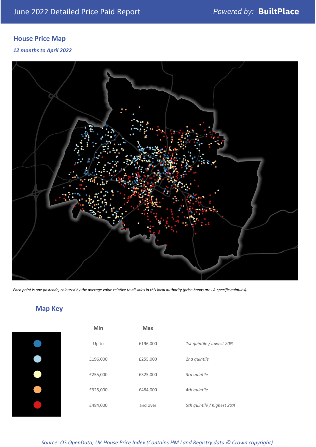# **House Price Map**

*12 months to April 2022*



*Each point is one postcode, coloured by the average value relative to all sales in this local authority (price bands are LA-specific quintiles).*

**Map Key**

| Min      | <b>Max</b> |                            |
|----------|------------|----------------------------|
| Up to    | £196,000   | 1st quintile / lowest 20%  |
| £196,000 | £255,000   | 2nd quintile               |
| £255,000 | £325,000   | 3rd quintile               |
| £325,000 | £484,000   | 4th quintile               |
| £484,000 | and over   | 5th quintile / highest 20% |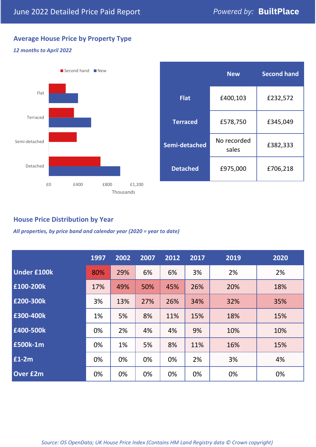# **Average House Price by Property Type**

### *12 months to April 2022*



|                 | <b>New</b>           | <b>Second hand</b> |  |
|-----------------|----------------------|--------------------|--|
| <b>Flat</b>     | £400,103             | £232,572           |  |
| <b>Terraced</b> | £578,750             | £345,049           |  |
| Semi-detached   | No recorded<br>sales | £382,333           |  |
| <b>Detached</b> | £975,000             | £706,218           |  |

# **House Price Distribution by Year**

*All properties, by price band and calendar year (2020 = year to date)*

|                    | 1997 | 2002 | 2007 | 2012 | 2017 | 2019 | 2020 |
|--------------------|------|------|------|------|------|------|------|
| <b>Under £100k</b> | 80%  | 29%  | 6%   | 6%   | 3%   | 2%   | 2%   |
| £100-200k          | 17%  | 49%  | 50%  | 45%  | 26%  | 20%  | 18%  |
| E200-300k          | 3%   | 13%  | 27%  | 26%  | 34%  | 32%  | 35%  |
| £300-400k          | 1%   | 5%   | 8%   | 11%  | 15%  | 18%  | 15%  |
| £400-500k          | 0%   | 2%   | 4%   | 4%   | 9%   | 10%  | 10%  |
| <b>£500k-1m</b>    | 0%   | 1%   | 5%   | 8%   | 11%  | 16%  | 15%  |
| £1-2m              | 0%   | 0%   | 0%   | 0%   | 2%   | 3%   | 4%   |
| <b>Over £2m</b>    | 0%   | 0%   | 0%   | 0%   | 0%   | 0%   | 0%   |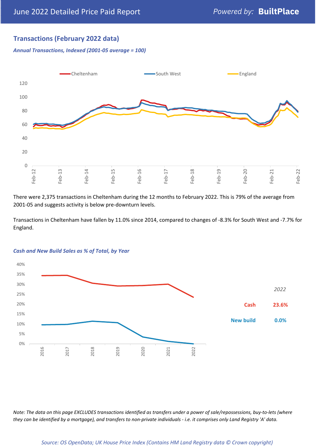# **Transactions (February 2022 data)**

*Annual Transactions, Indexed (2001-05 average = 100)*



There were 2,375 transactions in Cheltenham during the 12 months to February 2022. This is 79% of the average from 2001-05 and suggests activity is below pre-downturn levels.

Transactions in Cheltenham have fallen by 11.0% since 2014, compared to changes of -8.3% for South West and -7.7% for England.



#### *Cash and New Build Sales as % of Total, by Year*

*Note: The data on this page EXCLUDES transactions identified as transfers under a power of sale/repossessions, buy-to-lets (where they can be identified by a mortgage), and transfers to non-private individuals - i.e. it comprises only Land Registry 'A' data.*